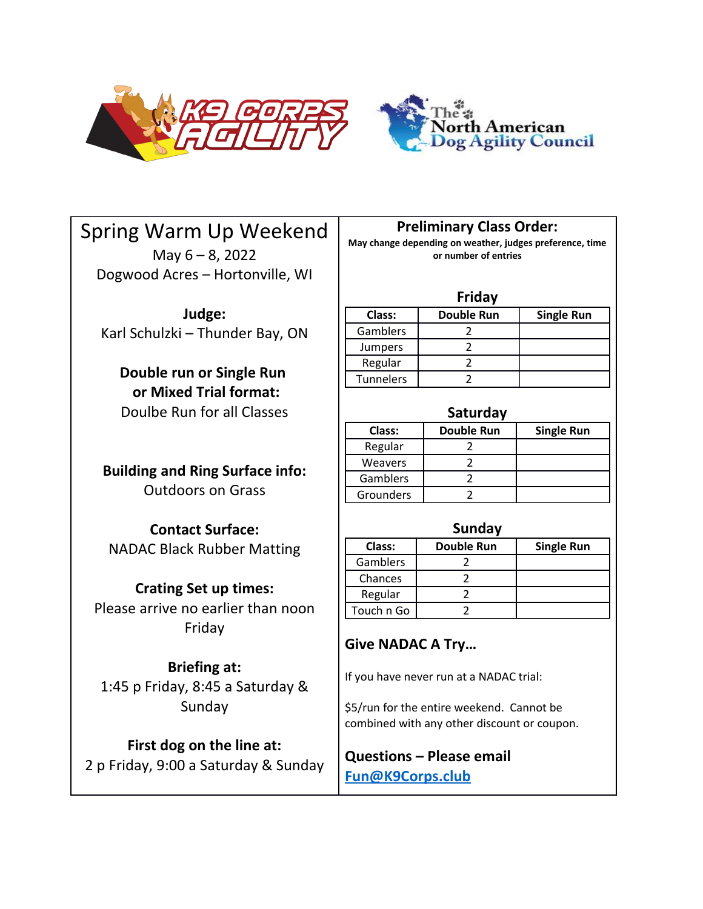



# Spring Warm Up Weekend

May 6 – 8, 2022 Dogwood Acres – Hortonville, WI

**Judge:** Karl Schulzki – Thunder Bay, ON

# **Double run or Single Run or Mixed Trial format:** Doulbe Run for all Classes

**Building and Ring Surface info:** Outdoors on Grass

**Contact Surface:** NADAC Black Rubber Matting

# **Crating Set up times:**

Please arrive no earlier than noon Friday

# **Briefing at:**

1:45 p Friday, 8:45 a Saturday & Sunday

# **First dog on the line at:**

2 p Friday, 9:00 a Saturday & Sunday

**Preliminary Class Order:**

**May change depending on weather, judges preference, time or number of entries**

#### **Friday**

| Class:         | <b>Double Run</b> | <b>Single Run</b> |
|----------------|-------------------|-------------------|
| Gamblers       |                   |                   |
| <b>Jumpers</b> |                   |                   |
| Regular        |                   |                   |
| Tunnelers      |                   |                   |

# **Saturday**

| Class:    | Double Run | <b>Single Run</b> |
|-----------|------------|-------------------|
| Regular   |            |                   |
| Weavers   |            |                   |
| Gamblers  |            |                   |
| Grounders |            |                   |

## **Sunday**

| Class:     | <b>Double Run</b> | <b>Single Run</b> |
|------------|-------------------|-------------------|
| Gamblers   |                   |                   |
| Chances    |                   |                   |
| Regular    |                   |                   |
| Touch n Go |                   |                   |

# **Give NADAC A Try…**

If you have never run at a NADAC trial:

\$5/run for the entire weekend. Cannot be combined with any other discount or coupon.

**Questions – Please email [Fun@K9Corps.club](mailto:Fun@K9corps.club?subject=May%202021%20Trial%20Question)**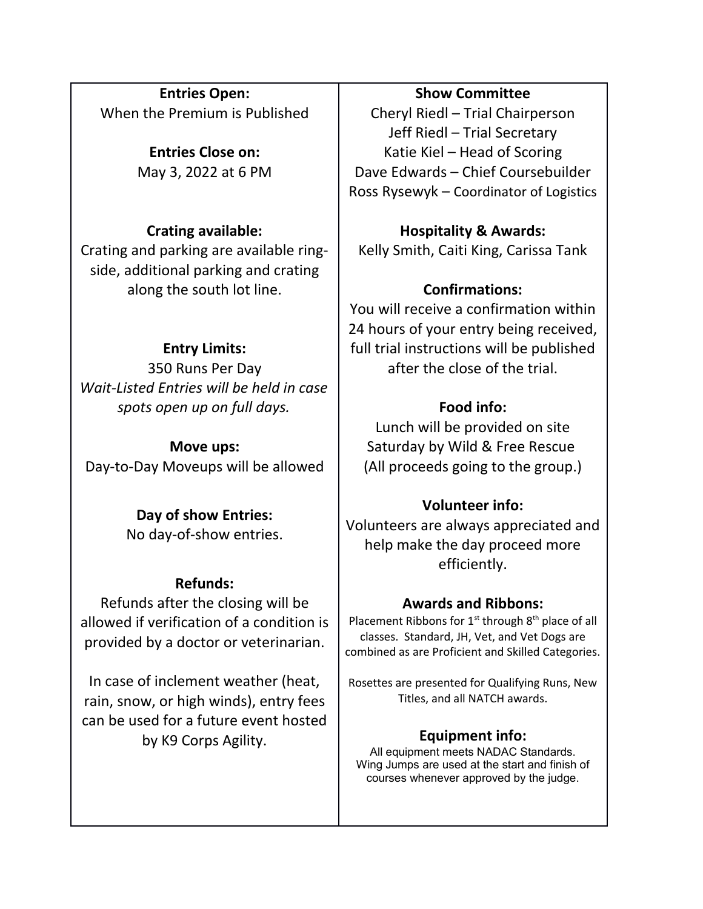**Entries Open:** When the Premium is Published

> **Entries Close on:** May 3, 2022 at 6 PM

# **Crating available:**

Crating and parking are available ringside, additional parking and crating along the south lot line.

# **Entry Limits:**

350 Runs Per Day *Wait-Listed Entries will be held in case spots open up on full days.*

**Move ups:** Day-to-Day Moveups will be allowed

# **Day of show Entries:**

No day-of-show entries.

## **Refunds:**

Refunds after the closing will be allowed if verification of a condition is provided by a doctor or veterinarian.

In case of inclement weather (heat, rain, snow, or high winds), entry fees can be used for a future event hosted by K9 Corps Agility.

# **Show Committee**

Cheryl Riedl – Trial Chairperson Jeff Riedl – Trial Secretary Katie Kiel – Head of Scoring Dave Edwards – Chief Coursebuilder Ross Rysewyk – Coordinator of Logistics

**Hospitality & Awards:** Kelly Smith, Caiti King, Carissa Tank

# **Confirmations:**

You will receive a confirmation within 24 hours of your entry being received, full trial instructions will be published after the close of the trial.

# **Food info:**

Lunch will be provided on site Saturday by Wild & Free Rescue (All proceeds going to the group.)

# **Volunteer info:**

Volunteers are always appreciated and help make the day proceed more efficiently.

## **Awards and Ribbons:**

Placement Ribbons for  $1<sup>st</sup>$  through  $8<sup>th</sup>$  place of all classes. Standard, JH, Vet, and Vet Dogs are combined as are Proficient and Skilled Categories.

Rosettes are presented for Qualifying Runs, New Titles, and all NATCH awards.

## **Equipment info:**

All equipment meets NADAC Standards. Wing Jumps are used at the start and finish of courses whenever approved by the judge.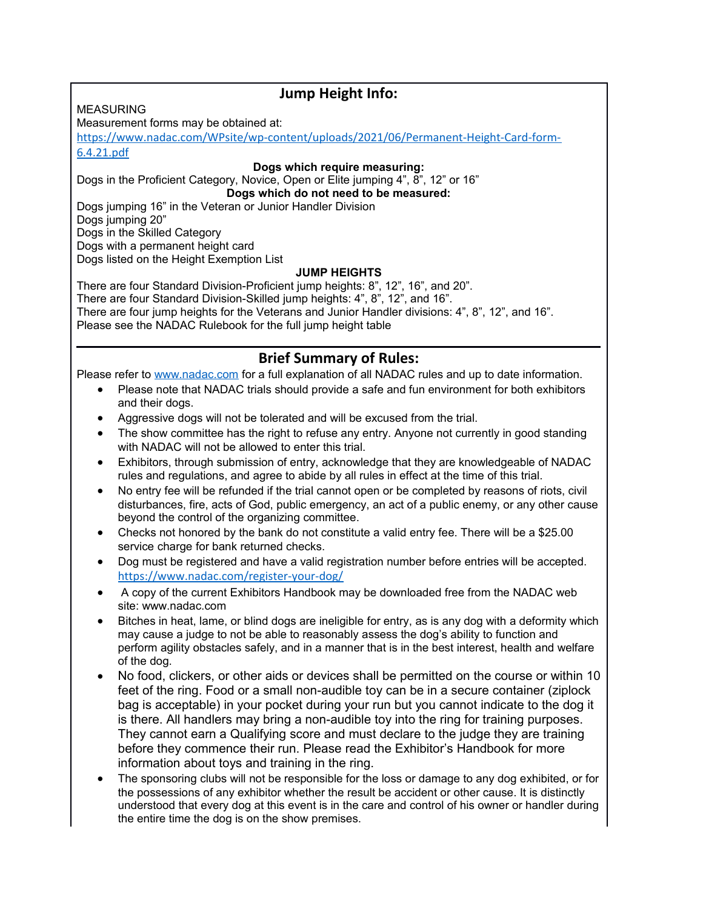# **Jump Height Info:**

#### **MEASURING**

Measurement forms may be obtained at:

[https://www.nadac.com/WPsite/wp-content/uploads/2021/06/Permanent-Height-Card-form-](https://www.nadac.com/WPsite/wp-content/uploads/2021/06/Permanent-Height-Card-form-6.4.21.pdf)[6.4.21.pdf](https://www.nadac.com/WPsite/wp-content/uploads/2021/06/Permanent-Height-Card-form-6.4.21.pdf)

**Dogs which require measuring:**

Dogs in the Proficient Category, Novice, Open or Elite jumping 4", 8", 12" or 16" **Dogs which do not need to be measured:**

Dogs jumping 16" in the Veteran or Junior Handler Division

Dogs jumping 20"

Dogs in the Skilled Category

Dogs with a permanent height card

Dogs listed on the Height Exemption List

#### **JUMP HEIGHTS**

There are four Standard Division-Proficient jump heights: 8", 12", 16", and 20". There are four Standard Division-Skilled jump heights: 4", 8", 12", and 16". There are four jump heights for the Veterans and Junior Handler divisions: 4", 8", 12", and 16". Please see the NADAC Rulebook for the full jump height table

## **Brief Summary of Rules:**

Please refer to [www.nadac.com](http://www.nadac.com/) for a full explanation of all NADAC rules and up to date information.

- Please note that NADAC trials should provide a safe and fun environment for both exhibitors and their dogs.
- Aggressive dogs will not be tolerated and will be excused from the trial.
- The show committee has the right to refuse any entry. Anyone not currently in good standing with NADAC will not be allowed to enter this trial.
- Exhibitors, through submission of entry, acknowledge that they are knowledgeable of NADAC rules and regulations, and agree to abide by all rules in effect at the time of this trial.
- No entry fee will be refunded if the trial cannot open or be completed by reasons of riots, civil disturbances, fire, acts of God, public emergency, an act of a public enemy, or any other cause beyond the control of the organizing committee.
- Checks not honored by the bank do not constitute a valid entry fee. There will be a \$25.00 service charge for bank returned checks.
- Dog must be registered and have a valid registration number before entries will be accepted. <https://www.nadac.com/register-your-dog/>
- A copy of the current Exhibitors Handbook may be downloaded free from the NADAC web site: www.nadac.com
- Bitches in heat, lame, or blind dogs are ineligible for entry, as is any dog with a deformity which may cause a judge to not be able to reasonably assess the dog's ability to function and perform agility obstacles safely, and in a manner that is in the best interest, health and welfare of the dog.
- No food, clickers, or other aids or devices shall be permitted on the course or within 10 feet of the ring. Food or a small non-audible toy can be in a secure container (ziplock bag is acceptable) in your pocket during your run but you cannot indicate to the dog it is there. All handlers may bring a non-audible toy into the ring for training purposes. They cannot earn a Qualifying score and must declare to the judge they are training before they commence their run. Please read the Exhibitor's Handbook for more information about toys and training in the ring.
- The sponsoring clubs will not be responsible for the loss or damage to any dog exhibited, or for the possessions of any exhibitor whether the result be accident or other cause. It is distinctly understood that every dog at this event is in the care and control of his owner or handler during the entire time the dog is on the show premises.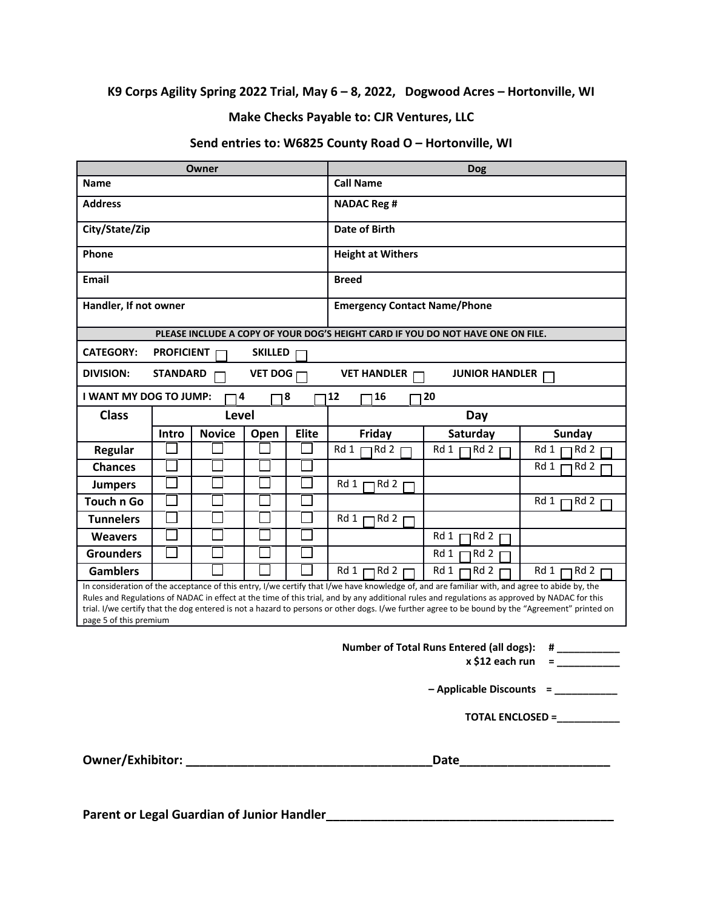#### **K9 Corps Agility Spring 2022 Trial, May 6 – 8, 2022, Dogwood Acres – Hortonville, WI**

#### **Make Checks Payable to: CJR Ventures, LLC**

#### **Send entries to: W6825 County Road O – Hortonville, WI**

| Owner                                                                                                                                                                                                                                                                                                                                                                                                                                                                       |                   |               | <b>Dog</b>     |              |                                                                                 |                       |               |
|-----------------------------------------------------------------------------------------------------------------------------------------------------------------------------------------------------------------------------------------------------------------------------------------------------------------------------------------------------------------------------------------------------------------------------------------------------------------------------|-------------------|---------------|----------------|--------------|---------------------------------------------------------------------------------|-----------------------|---------------|
| Name                                                                                                                                                                                                                                                                                                                                                                                                                                                                        |                   |               |                |              | <b>Call Name</b>                                                                |                       |               |
| <b>Address</b>                                                                                                                                                                                                                                                                                                                                                                                                                                                              |                   |               |                |              | <b>NADAC Reg #</b>                                                              |                       |               |
| City/State/Zip                                                                                                                                                                                                                                                                                                                                                                                                                                                              |                   |               |                |              | <b>Date of Birth</b>                                                            |                       |               |
| Phone                                                                                                                                                                                                                                                                                                                                                                                                                                                                       |                   |               |                |              | <b>Height at Withers</b>                                                        |                       |               |
| Email                                                                                                                                                                                                                                                                                                                                                                                                                                                                       |                   |               |                |              | <b>Breed</b>                                                                    |                       |               |
| Handler, If not owner                                                                                                                                                                                                                                                                                                                                                                                                                                                       |                   |               |                |              | <b>Emergency Contact Name/Phone</b>                                             |                       |               |
|                                                                                                                                                                                                                                                                                                                                                                                                                                                                             |                   |               |                |              | PLEASE INCLUDE A COPY OF YOUR DOG'S HEIGHT CARD IF YOU DO NOT HAVE ONE ON FILE. |                       |               |
| <b>CATEGORY:</b>                                                                                                                                                                                                                                                                                                                                                                                                                                                            | <b>PROFICIENT</b> |               | <b>SKILLED</b> |              |                                                                                 |                       |               |
| <b>DIVISION:</b>                                                                                                                                                                                                                                                                                                                                                                                                                                                            | <b>STANDARD</b>   |               | <b>VET DOG</b> |              | <b>VET HANDLER</b>                                                              | <b>JUNIOR HANDLER</b> |               |
| <b>I WANT MY DOG TO JUMP:</b>                                                                                                                                                                                                                                                                                                                                                                                                                                               |                   | ٦4            |                | 8            | 12<br>16                                                                        | 120                   |               |
| <b>Class</b>                                                                                                                                                                                                                                                                                                                                                                                                                                                                |                   | Level         |                |              |                                                                                 | Day                   |               |
|                                                                                                                                                                                                                                                                                                                                                                                                                                                                             | Intro             | <b>Novice</b> | Open           | <b>Elite</b> | Friday                                                                          | Saturday              | <b>Sunday</b> |
| <b>Regular</b>                                                                                                                                                                                                                                                                                                                                                                                                                                                              |                   |               |                |              | Rd 2<br>Rd 1                                                                    | Rd 2<br>Rd 1          | Rd 2<br>Rd 1  |
| <b>Chances</b>                                                                                                                                                                                                                                                                                                                                                                                                                                                              |                   |               |                |              |                                                                                 |                       | Rd 2<br>Rd 1  |
| <b>Jumpers</b>                                                                                                                                                                                                                                                                                                                                                                                                                                                              |                   |               |                |              | Rd 2<br>Rd 1                                                                    |                       |               |
| <b>Touch n Go</b>                                                                                                                                                                                                                                                                                                                                                                                                                                                           |                   |               |                |              |                                                                                 |                       | Rd 1<br>Rd 2  |
| <b>Tunnelers</b>                                                                                                                                                                                                                                                                                                                                                                                                                                                            |                   |               |                |              | Rd 2<br>Rd 1                                                                    |                       |               |
| <b>Weavers</b>                                                                                                                                                                                                                                                                                                                                                                                                                                                              |                   |               |                |              |                                                                                 | Rd 2<br>Rd 1          |               |
| <b>Grounders</b>                                                                                                                                                                                                                                                                                                                                                                                                                                                            |                   |               |                |              |                                                                                 | Rd 1<br>Rd 2          |               |
| <b>Gamblers</b>                                                                                                                                                                                                                                                                                                                                                                                                                                                             |                   |               |                |              | Rd 1<br>Rd 2                                                                    | Rd 1<br>Rd 2          | Rd1<br>7 Rd 2 |
| In consideration of the acceptance of this entry, I/we certify that I/we have knowledge of, and are familiar with, and agree to abide by, the<br>Rules and Regulations of NADAC in effect at the time of this trial, and by any additional rules and regulations as approved by NADAC for this<br>trial. I/we certify that the dog entered is not a hazard to persons or other dogs. I/we further agree to be bound by the "Agreement" printed on<br>page 5 of this premium |                   |               |                |              |                                                                                 |                       |               |
| <b>Number of Total Runs Entered (all dogs):</b><br>#<br>x \$12 each run<br>$\equiv$ 1000 $\pm$                                                                                                                                                                                                                                                                                                                                                                              |                   |               |                |              |                                                                                 |                       |               |
| - Applicable Discounts = __________                                                                                                                                                                                                                                                                                                                                                                                                                                         |                   |               |                |              |                                                                                 |                       |               |
|                                                                                                                                                                                                                                                                                                                                                                                                                                                                             | TOTAL ENCLOSED =  |               |                |              |                                                                                 |                       |               |
| Date___________________________                                                                                                                                                                                                                                                                                                                                                                                                                                             |                   |               |                |              |                                                                                 |                       |               |

**Parent or Legal Guardian of Junior Handler\_\_\_\_\_\_\_\_\_\_\_\_\_\_\_\_\_\_\_\_\_\_\_\_\_\_\_\_\_\_\_\_\_\_\_\_\_\_\_\_\_\_**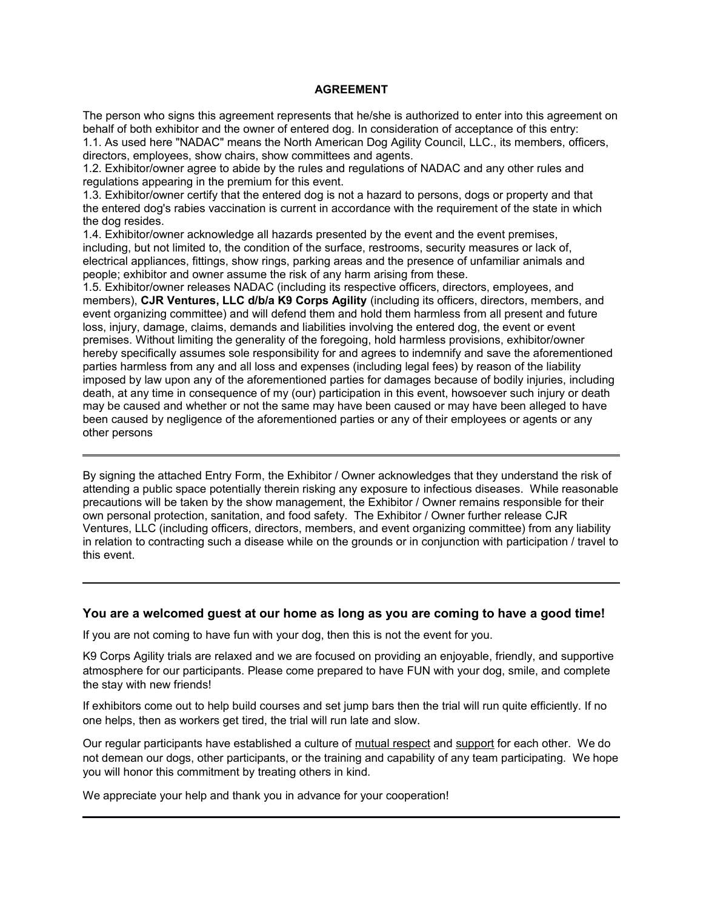#### **AGREEMENT**

The person who signs this agreement represents that he/she is authorized to enter into this agreement on behalf of both exhibitor and the owner of entered dog. In consideration of acceptance of this entry: 1.1. As used here "NADAC" means the North American Dog Agility Council, LLC., its members, officers, directors, employees, show chairs, show committees and agents.

1.2. Exhibitor/owner agree to abide by the rules and regulations of NADAC and any other rules and regulations appearing in the premium for this event.

1.3. Exhibitor/owner certify that the entered dog is not a hazard to persons, dogs or property and that the entered dog's rabies vaccination is current in accordance with the requirement of the state in which the dog resides.

1.4. Exhibitor/owner acknowledge all hazards presented by the event and the event premises, including, but not limited to, the condition of the surface, restrooms, security measures or lack of, electrical appliances, fittings, show rings, parking areas and the presence of unfamiliar animals and people; exhibitor and owner assume the risk of any harm arising from these.

1.5. Exhibitor/owner releases NADAC (including its respective officers, directors, employees, and members), **CJR Ventures, LLC d/b/a K9 Corps Agility** (including its officers, directors, members, and event organizing committee) and will defend them and hold them harmless from all present and future loss, injury, damage, claims, demands and liabilities involving the entered dog, the event or event premises. Without limiting the generality of the foregoing, hold harmless provisions, exhibitor/owner hereby specifically assumes sole responsibility for and agrees to indemnify and save the aforementioned parties harmless from any and all loss and expenses (including legal fees) by reason of the liability imposed by law upon any of the aforementioned parties for damages because of bodily injuries, including death, at any time in consequence of my (our) participation in this event, howsoever such injury or death may be caused and whether or not the same may have been caused or may have been alleged to have been caused by negligence of the aforementioned parties or any of their employees or agents or any other persons

By signing the attached Entry Form, the Exhibitor / Owner acknowledges that they understand the risk of attending a public space potentially therein risking any exposure to infectious diseases. While reasonable precautions will be taken by the show management, the Exhibitor / Owner remains responsible for their own personal protection, sanitation, and food safety. The Exhibitor / Owner further release CJR Ventures, LLC (including officers, directors, members, and event organizing committee) from any liability in relation to contracting such a disease while on the grounds or in conjunction with participation / travel to this event.

#### **You are a welcomed guest at our home as long as you are coming to have a good time!**

If you are not coming to have fun with your dog, then this is not the event for you.

K9 Corps Agility trials are relaxed and we are focused on providing an enjoyable, friendly, and supportive atmosphere for our participants. Please come prepared to have FUN with your dog, smile, and complete the stay with new friends!

If exhibitors come out to help build courses and set jump bars then the trial will run quite efficiently. If no one helps, then as workers get tired, the trial will run late and slow.

Our regular participants have established a culture of mutual respect and support for each other. We do not demean our dogs, other participants, or the training and capability of any team participating. We hope you will honor this commitment by treating others in kind.

We appreciate your help and thank you in advance for your cooperation!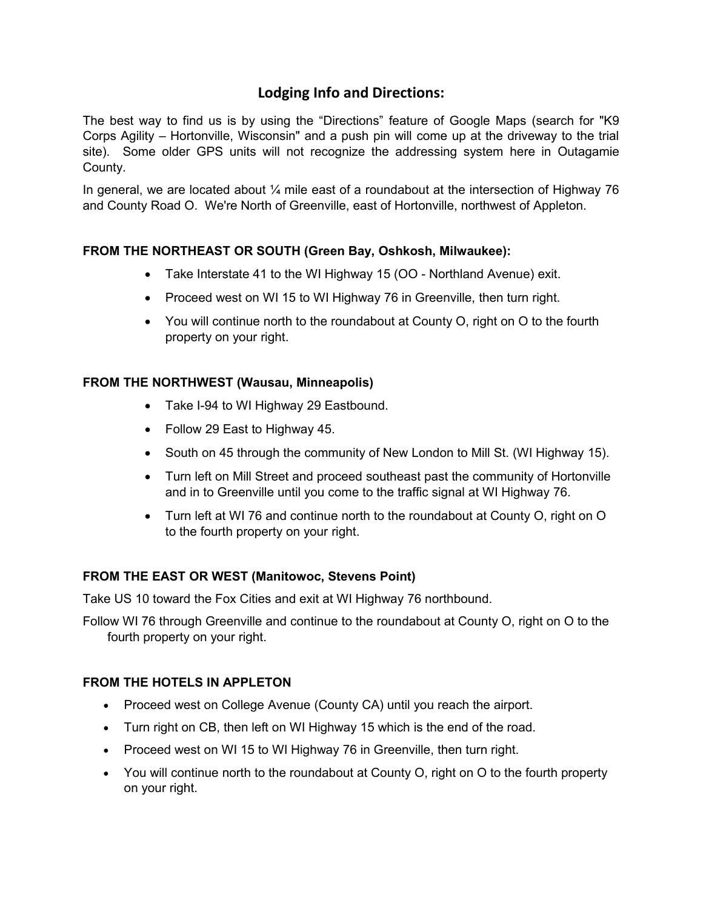# **Lodging Info and Directions:**

The best way to find us is by using the "Directions" feature of Google Maps (search for "K9 Corps Agility – Hortonville, Wisconsin" and a push pin will come up at the driveway to the trial site). Some older GPS units will not recognize the addressing system here in Outagamie County.

In general, we are located about  $\frac{1}{4}$  mile east of a roundabout at the intersection of Highway 76 and County Road O. We're North of Greenville, east of Hortonville, northwest of Appleton.

#### **FROM THE NORTHEAST OR SOUTH (Green Bay, Oshkosh, Milwaukee):**

- Take Interstate 41 to the WI Highway 15 (OO Northland Avenue) exit.
- Proceed west on WI 15 to WI Highway 76 in Greenville, then turn right.
- You will continue north to the roundabout at County O, right on O to the fourth property on your right.

#### **FROM THE NORTHWEST (Wausau, Minneapolis)**

- Take I-94 to WI Highway 29 Eastbound.
- Follow 29 East to Highway 45.
- South on 45 through the community of New London to Mill St. (WI Highway 15).
- Turn left on Mill Street and proceed southeast past the community of Hortonville and in to Greenville until you come to the traffic signal at WI Highway 76.
- Turn left at WI 76 and continue north to the roundabout at County O, right on O to the fourth property on your right.

#### **FROM THE EAST OR WEST (Manitowoc, Stevens Point)**

Take US 10 toward the Fox Cities and exit at WI Highway 76 northbound.

Follow WI 76 through Greenville and continue to the roundabout at County O, right on O to the fourth property on your right.

#### **FROM THE HOTELS IN APPLETON**

- Proceed west on College Avenue (County CA) until you reach the airport.
- Turn right on CB, then left on WI Highway 15 which is the end of the road.
- Proceed west on WI 15 to WI Highway 76 in Greenville, then turn right.
- You will continue north to the roundabout at County O, right on O to the fourth property on your right.